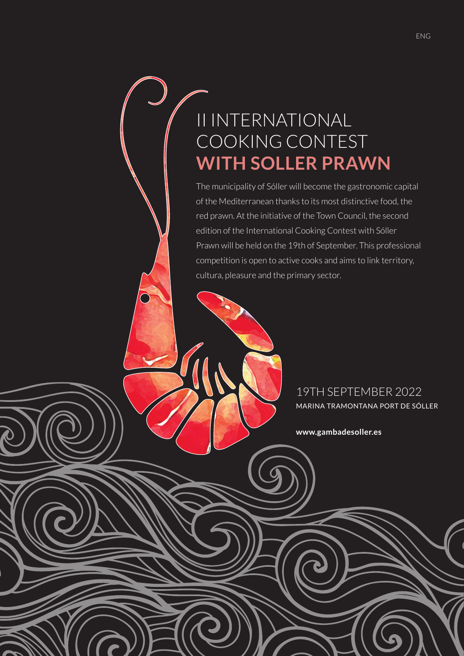## II INTERNATIONAL COOKING CONTEST **WITH SOLLER PRAWN**

The municipality of Sóller will become the gastronomic capital of the Mediterranean thanks to its most distinctive food, the red prawn. At the initiative of the Town Council, the second edition of the International Cooking Contest with Sóller Prawn will be held on the 19th of September. This professional competition is open to active cooks and aims to link territory, cultura, pleasure and the primary sector.

> 19TH SEPTEMBER 2022 MARINA TRAMONTANA PORT DE SÓLLER

**www.gambadesoller.es**